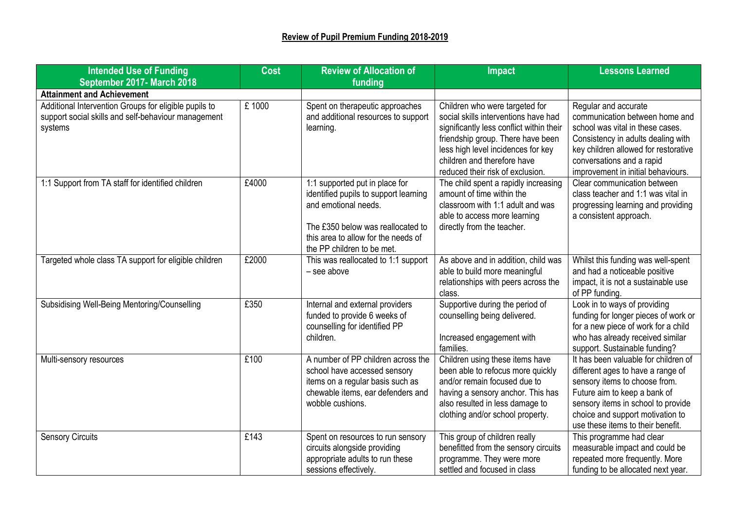| <b>Intended Use of Funding</b>                                                                                          | <b>Cost</b> | <b>Review of Allocation of</b>                                                                                                                                                                            | <b>Impact</b>                                                                                                                                                                                                                                                    | <b>Lessons Learned</b>                                                                                                                                                                                                                                    |
|-------------------------------------------------------------------------------------------------------------------------|-------------|-----------------------------------------------------------------------------------------------------------------------------------------------------------------------------------------------------------|------------------------------------------------------------------------------------------------------------------------------------------------------------------------------------------------------------------------------------------------------------------|-----------------------------------------------------------------------------------------------------------------------------------------------------------------------------------------------------------------------------------------------------------|
| September 2017- March 2018                                                                                              |             | funding                                                                                                                                                                                                   |                                                                                                                                                                                                                                                                  |                                                                                                                                                                                                                                                           |
| <b>Attainment and Achievement</b>                                                                                       |             |                                                                                                                                                                                                           |                                                                                                                                                                                                                                                                  |                                                                                                                                                                                                                                                           |
| Additional Intervention Groups for eligible pupils to<br>support social skills and self-behaviour management<br>systems | £1000       | Spent on therapeutic approaches<br>and additional resources to support<br>learning.                                                                                                                       | Children who were targeted for<br>social skills interventions have had<br>significantly less conflict within their<br>friendship group. There have been<br>less high level incidences for key<br>children and therefore have<br>reduced their risk of exclusion. | Regular and accurate<br>communication between home and<br>school was vital in these cases.<br>Consistency in adults dealing with<br>key children allowed for restorative<br>conversations and a rapid<br>improvement in initial behaviours.               |
| 1:1 Support from TA staff for identified children                                                                       | £4000       | 1:1 supported put in place for<br>identified pupils to support learning<br>and emotional needs.<br>The £350 below was reallocated to<br>this area to allow for the needs of<br>the PP children to be met. | The child spent a rapidly increasing<br>amount of time within the<br>classroom with 1:1 adult and was<br>able to access more learning<br>directly from the teacher.                                                                                              | Clear communication between<br>class teacher and 1:1 was vital in<br>progressing learning and providing<br>a consistent approach.                                                                                                                         |
| Targeted whole class TA support for eligible children                                                                   | £2000       | This was reallocated to 1:1 support<br>$-$ see above                                                                                                                                                      | As above and in addition, child was<br>able to build more meaningful<br>relationships with peers across the<br>class.                                                                                                                                            | Whilst this funding was well-spent<br>and had a noticeable positive<br>impact, it is not a sustainable use<br>of PP funding.                                                                                                                              |
| Subsidising Well-Being Mentoring/Counselling                                                                            | £350        | Internal and external providers<br>funded to provide 6 weeks of<br>counselling for identified PP<br>children.                                                                                             | Supportive during the period of<br>counselling being delivered.<br>Increased engagement with<br>families.                                                                                                                                                        | Look in to ways of providing<br>funding for longer pieces of work or<br>for a new piece of work for a child<br>who has already received similar<br>support. Sustainable funding?                                                                          |
| Multi-sensory resources                                                                                                 | £100        | A number of PP children across the<br>school have accessed sensory<br>items on a regular basis such as<br>chewable items, ear defenders and<br>wobble cushions.                                           | Children using these items have<br>been able to refocus more quickly<br>and/or remain focused due to<br>having a sensory anchor. This has<br>also resulted in less damage to<br>clothing and/or school property.                                                 | It has been valuable for children of<br>different ages to have a range of<br>sensory items to choose from.<br>Future aim to keep a bank of<br>sensory items in school to provide<br>choice and support motivation to<br>use these items to their benefit. |
| <b>Sensory Circuits</b>                                                                                                 | £143        | Spent on resources to run sensory<br>circuits alongside providing<br>appropriate adults to run these<br>sessions effectively.                                                                             | This group of children really<br>benefitted from the sensory circuits<br>programme. They were more<br>settled and focused in class                                                                                                                               | This programme had clear<br>measurable impact and could be<br>repeated more frequently. More<br>funding to be allocated next year.                                                                                                                        |